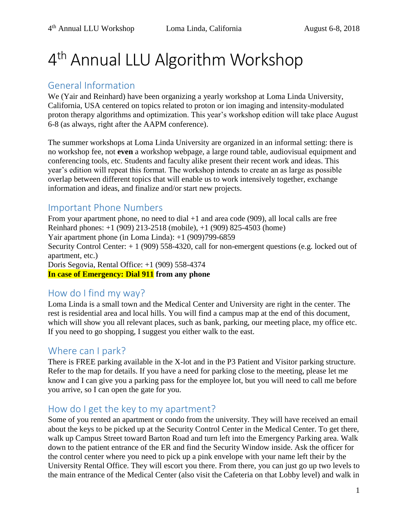# 4<sup>th</sup> Annual LLU Algorithm Workshop

# General Information

We (Yair and Reinhard) have been organizing a yearly workshop at Loma Linda University, California, USA centered on topics related to proton or ion imaging and intensity-modulated proton therapy algorithms and optimization. This year's workshop edition will take place August 6-8 (as always, right after the AAPM conference).

The summer workshops at Loma Linda University are organized in an informal setting: there is no workshop fee, not **even** a workshop webpage, a large round table, audiovisual equipment and conferencing tools, etc. Students and faculty alike present their recent work and ideas. This year's edition will repeat this format. The workshop intends to create an as large as possible overlap between different topics that will enable us to work intensively together, exchange information and ideas, and finalize and/or start new projects.

# Important Phone Numbers

From your apartment phone, no need to dial +1 and area code (909), all local calls are free Reinhard phones: +1 (909) 213-2518 (mobile), +1 (909) 825-4503 (home) Yair apartment phone (in Loma Linda): +1 (909)799-6859 Security Control Center: + 1 (909) 558-4320, call for non-emergent questions (e.g. locked out of apartment, etc.) Doris Segovia, Rental Office: +1 (909) 558-4374 **In case of Emergency: Dial 911 from any phone**

# How do I find my way?

Loma Linda is a small town and the Medical Center and University are right in the center. The rest is residential area and local hills. You will find a campus map at the end of this document, which will show you all relevant places, such as bank, parking, our meeting place, my office etc. If you need to go shopping, I suggest you either walk to the east.

# Where can I park?

There is FREE parking available in the X-lot and in the P3 Patient and Visitor parking structure. Refer to the map for details. If you have a need for parking close to the meeting, please let me know and I can give you a parking pass for the employee lot, but you will need to call me before you arrive, so I can open the gate for you.

# How do I get the key to my apartment?

Some of you rented an apartment or condo from the university. They will have received an email about the keys to be picked up at the Security Control Center in the Medical Center. To get there, walk up Campus Street toward Barton Road and turn left into the Emergency Parking area. Walk down to the patient entrance of the ER and find the Security Window inside. Ask the officer for the control center where you need to pick up a pink envelope with your name left their by the University Rental Office. They will escort you there. From there, you can just go up two levels to the main entrance of the Medical Center (also visit the Cafeteria on that Lobby level) and walk in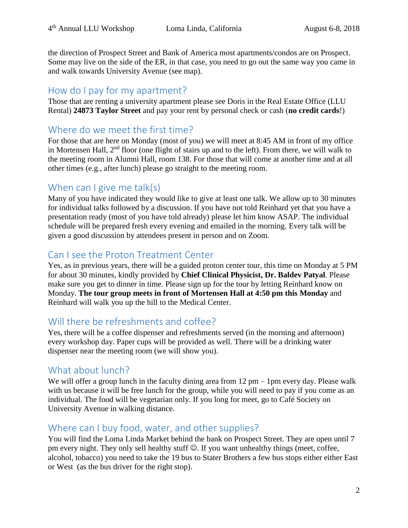the direction of Prospect Street and Bank of America most apartments/condos are on Prospect. Some may live on the side of the ER, in that case, you need to go out the same way you came in and walk towards University Avenue (see map).

### How do I pay for my apartment?

Those that are renting a university apartment please see Doris in the Real Estate Office (LLU Rental) **24873 Taylor Street** and pay your rent by personal check or cash (**no credit cards**!)

# Where do we meet the first time?

For those that are here on Monday (most of you) we will meet at 8:45 AM in front of my office in Mortensen Hall, 2<sup>nd</sup> floor (one flight of stairs up and to the left). From there, we will walk to the meeting room in Alumni Hall, room 138. For those that will come at another time and at all other times (e.g., after lunch) please go straight to the meeting room.

# When can I give me talk(s)

Many of you have indicated they would like to give at least one talk. We allow up to 30 minutes for individual talks followed by a discussion. If you have not told Reinhard yet that you have a presentation ready (most of you have told already) please let him know ASAP. The individual schedule will be prepared fresh every evening and emailed in the morning. Every talk will be given a good discussion by attendees present in person and on Zoom.

## Can I see the Proton Treatment Center

Yes, as in previous years, there will be a guided proton center tour, this time on Monday at 5 PM for about 30 minutes, kindly provided by **Chief Clinical Physicist, Dr. Baldev Patyal**. Please make sure you get to dinner in time. Please sign up for the tour by letting Reinhard know on Monday. **The tour group meets in front of Mortensen Hall at 4:50 pm this Monday** and Reinhard will walk you up the hill to the Medical Center.

# Will there be refreshments and coffee?

Yes, there will be a coffee dispenser and refreshments served (in the morning and afternoon) every workshop day. Paper cups will be provided as well. There will be a drinking water dispenser near the meeting room (we will show you).

# What about lunch?

We will offer a group lunch in the faculty dining area from 12 pm – 1pm every day. Please walk with us because it will be free lunch for the group, while you will need to pay if you come as an individual. The food will be vegetarian only. If you long for meet, go to Café Society on University Avenue in walking distance.

# Where can I buy food, water, and other supplies?

You will find the Loma Linda Market behind the bank on Prospect Street. They are open until 7 pm every night. They only sell healthy stuff  $\odot$ . If you want unhealthy things (meet, coffee, alcohol, tobacco) you need to take the 19 bus to Stater Brothers a few bus stops either either East or West (as the bus driver for the right stop).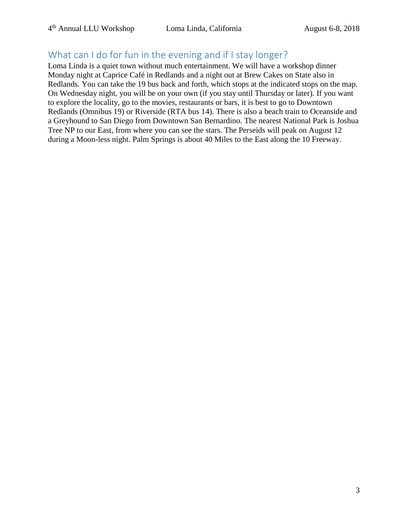# What can I do for fun in the evening and if I stay longer?

Loma Linda is a quiet town without much entertainment. We will have a workshop dinner Monday night at Caprice Café in Redlands and a night out at Brew Cakes on State also in Redlands. You can take the 19 bus back and forth, which stops at the indicated stops on the map. On Wednesday night, you will be on your own (if you stay until Thursday or later). If you want to explore the locality, go to the movies, restaurants or bars, it is best to go to Downtown Redlands (Omnibus 19) or Riverside (RTA bus 14). There is also a beach train to Oceanside and a Greyhound to San Diego from Downtown San Bernardino. The nearest National Park is Joshua Tree NP to our East, from where you can see the stars. The Perseids will peak on August 12 during a Moon-less night. Palm Springs is about 40 Miles to the East along the 10 Freeway.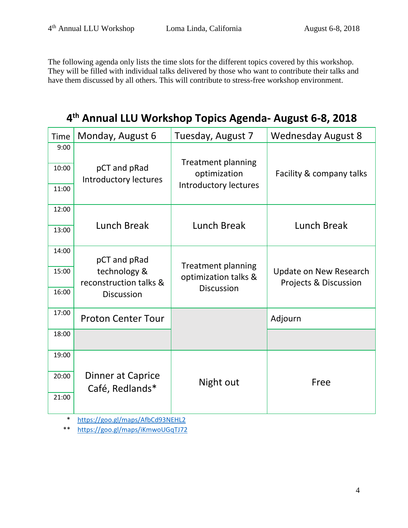The following agenda only lists the time slots for the different topics covered by this workshop. They will be filled with individual talks delivered by those who want to contribute their talks and have them discussed by all others. This will contribute to stress-free workshop environment.

**4 th Annual LLU Workshop Topics Agenda- August 6-8, 2018**

| <b>Time</b>            | Monday, August 6                                                            | Tuesday, August 7                                                         | <b>Wednesday August 8</b>                              |
|------------------------|-----------------------------------------------------------------------------|---------------------------------------------------------------------------|--------------------------------------------------------|
| 9:00<br>10:00<br>11:00 | pCT and pRad<br>Introductory lectures                                       | <b>Treatment planning</b><br>optimization<br><b>Introductory lectures</b> | Facility & company talks                               |
| 12:00                  | Lunch Break                                                                 | Lunch Break                                                               | Lunch Break                                            |
| 13:00                  |                                                                             |                                                                           |                                                        |
| 14:00                  | pCT and pRad<br>technology &<br>reconstruction talks &<br><b>Discussion</b> | <b>Treatment planning</b><br>optimization talks &<br><b>Discussion</b>    | <b>Update on New Research</b><br>Projects & Discussion |
| 15:00                  |                                                                             |                                                                           |                                                        |
| 16:00                  |                                                                             |                                                                           |                                                        |
| 17:00                  | <b>Proton Center Tour</b>                                                   |                                                                           | Adjourn                                                |
| 18:00                  |                                                                             |                                                                           |                                                        |
| 19:00                  |                                                                             |                                                                           |                                                        |
| 20:00                  | Dinner at Caprice<br>Café, Redlands*                                        | Night out                                                                 | Free                                                   |
| 21:00                  |                                                                             |                                                                           |                                                        |

\* <https://goo.gl/maps/AfbCd93NEHL2>

\*\* <https://goo.gl/maps/iKmwoUGqTJ72>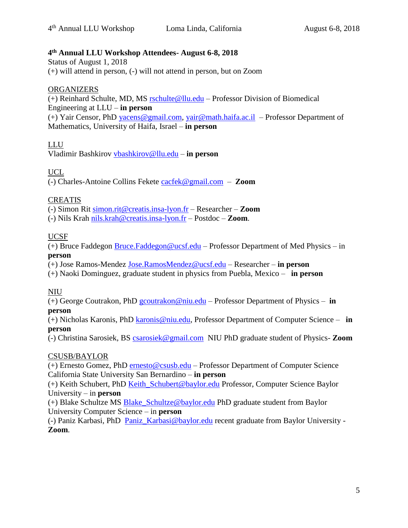#### **4 th Annual LLU Workshop Attendees- August 6-8, 2018**

Status of August 1, 2018 (+) will attend in person, (-) will not attend in person, but on Zoom

#### **ORGANIZERS**

(+) Reinhard Schulte, MD, MS [rschulte@llu.edu](mailto:rschulte@llu.edu) – Professor Division of Biomedical Engineering at LLU – **in person** (+) Yair Censor, PhD [yacens@gmail.com,](mailto:yacens@gmail.com) [yair@math.haifa.ac.il](mailto:yair@math.haifa.ac.il) – Professor Department of Mathematics, University of Haifa, Israel – **in person**

#### LLU

Vladimir Bashkirov [vbashkirov@llu.edu](mailto:vbashkirov@llu.edu) – **in person**

#### UCL

(-) Charles-Antoine Collins Fekete [cacfek@gmail.com](mailto:cacfek@gmail.com) – **Zoom**

#### CREATIS

(-) Simon Rit [simon.rit@creatis.insa-lyon.fr](mailto:simon.rit@creatis.insa-lyon.fr) – Researcher – **Zoom**

(-) Nils Krah [nils.krah@creatis.insa-lyon.fr](mailto:nils.krah@creatis.insa-lyon.fr) – Postdoc – **Zoom**.

#### UCSF

(+) Bruce Faddegon [Bruce.Faddegon@ucsf.edu](mailto:Bruce.Faddegon@ucsf.edu) – Professor Department of Med Physics – in **person**

(+) Jose Ramos-Mendez [Jose.RamosMendez@ucsf.edu](mailto:Jose.RamosMendez@ucsf.edu) – Researcher – **in person**

(+) Naoki Dominguez, graduate student in physics from Puebla, Mexico – **in person**

#### NIU

(+) George Coutrakon, PhD [gcoutrakon@niu.edu](mailto:gcoutrakon@niu.edu) – Professor Department of Physics – **in person**

(+) Nicholas Karonis, PhD [karonis@niu.edu,](mailto:karonis@niu.edu) Professor Department of Computer Science – **in person**

(-) Christina Sarosiek, BS [csarosiek@gmail.com](mailto:csarosiek@gmail.com) NIU PhD graduate student of Physics- **Zoom**

#### CSUSB/BAYLOR

(+) Ernesto Gomez, PhD [ernesto@csusb.edu](mailto:ernesto@csusb.edu) – Professor Department of Computer Science California State University San Bernardino – **in person**

(+) Keith Schubert, PhD [Keith\\_Schubert@baylor.edu](mailto:Keith_Schubert@baylor.edu) Professor, Computer Science Baylor University – in **person**

(+) Blake Schultze MS [Blake\\_Schultze@baylor.edu](mailto:Blake_Schultze@baylor.edu) PhD graduate student from Baylor University Computer Science – in **person**

(-) Paniz Karbasi, PhD [Paniz\\_Karbasi@baylor.edu](mailto:Paniz_Karbasi@baylor.edu) recent graduate from Baylor University - **Zoom**.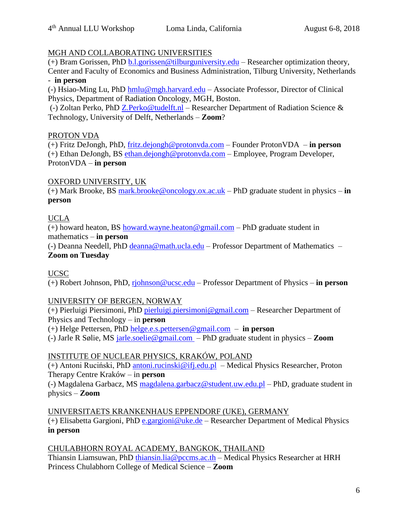#### MGH AND COLLABORATING UNIVERSITIES

(+) Bram Gorissen, PhD  $\underline{b.l.}$ gorissen@tilburguniversity.edu – Researcher optimization theory, Center and Faculty of Economics and Business Administration, Tilburg University, Netherlands - **in person**

(-) Hsiao-Ming Lu, PhD [hmlu@mgh.harvard.edu](mailto:hmlu@mgh.harvard.edu) – Associate Professor, Director of Clinical Physics, Department of Radiation Oncology, MGH, Boston.

(-) Zoltan Perko, PhD [Z.Perko@tudelft.nl](mailto:Z.Perko@tudelft.nl) – Researcher Department of Radiation Science & Technology, University of Delft, Netherlands – **Zoom**?

#### PROTON VDA

(+) Fritz DeJongh, PhD, [fritz.dejongh@protonvda.com](mailto:fritz.dejongh@protonvda.com) – Founder ProtonVDA – **in person** (+) Ethan DeJongh, BS [ethan.dejongh@protonvda.com](mailto:ethan.dejongh@protonvda.com) – Employee, Program Developer, ProtonVDA – **in person**

#### OXFORD UNIVERSITY, UK

(+) Mark Brooke, BS [mark.brooke@oncology.ox.ac.uk](mailto:mark.brooke@oncology.ox.ac.uk) – PhD graduate student in physics – **in person**

#### UCLA

(+) howard heaton, BS [howard.wayne.heaton@gmail.com](mailto:howard.wayne.heaton@gmail.com) – PhD graduate student in mathematics – **in person**

(-) Deanna Needell, PhD [deanna@math.ucla.edu](mailto:deanna@math.ucla.edu) – Professor Department of Mathematics – **Zoom on Tuesday**

UCSC

(+) Robert Johnson, PhD, [rjohnson@ucsc.edu](mailto:rjohnson@ucsc.edu) – Professor Department of Physics – **in person**

#### UNIVERSITY OF BERGEN, NORWAY

(+) Pierluigi Piersimoni, PhD [pierluigi.piersimoni@gmail.com](mailto:pierluigi.piersimoni@gmail.com) – Researcher Department of Physics and Technology – in **person**

(+) Helge Pettersen, PhD [helge.e.s.pettersen@gmail.com](mailto:helge.e.s.pettersen@gmail.com) – **in person**

(-) Jarle R Sølie, MS [jarle.soelie@gmail.com](mailto:jarle.soelie@gmail.com) – PhD graduate student in physics – **Zoom**

#### INSTITUTE OF NUCLEAR PHYSICS, KRAKÓW, POLAND

(+) Antoni Ruciński, PhD [antoni.rucinski@ifj.edu.pl](mailto:antoni.rucinski@ifj.edu.pl) – Medical Physics Researcher, Proton Therapy Centre Kraków – in **person**

(-) Magdalena Garbacz, MS [magdalena.garbacz@student.uw.edu.pl](mailto:magdalena.garbacz@student.uw.edu.pl) – PhD, graduate student in physics – **Zoom**

UNIVERSITAETS KRANKENHAUS EPPENDORF (UKE), GERMANY (+) Elisabetta Gargioni, PhD [e.gargioni@uke.de](mailto:e.gargioni@uke.de) – Researcher Department of Medical Physics

#### **in person**

#### CHULABHORN ROYAL ACADEMY, BANGKOK, THAILAND

Thiansin Liamsuwan, PhD [thiansin.lia@pccms.ac.th](mailto:thiansin.lia@pccms.ac.th) – Medical Physics Researcher at HRH Princess Chulabhorn College of Medical Science – **Zoom**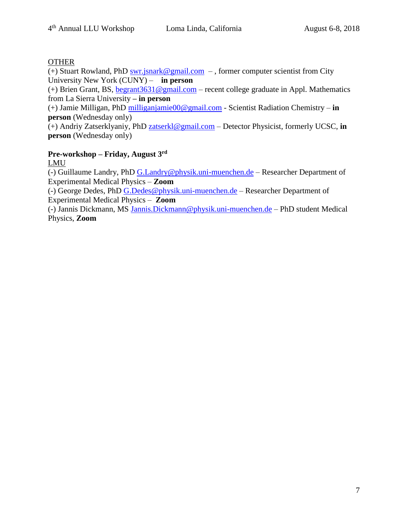#### **OTHER**

(+) Stuart Rowland, PhD [swr.jsnark@gmail.com](mailto:swr.jsnark@gmail.com) – , former computer scientist from City University New York (CUNY) – **in person**

(+) Brien Grant, BS, [begrant3631@gmail.com](mailto:begrant3631@gmail.com) – recent college graduate in Appl. Mathematics from La Sierra University **– in person**

(+) Jamie Milligan, PhD [milliganjamie00@gmail.com](mailto:milliganjamie00@gmail.com) - Scientist Radiation Chemistry – **in person** (Wednesday only)

(+) Andriy Zatserklyaniy, PhD [zatserkl@gmail.com](mailto:zatserkl@gmail.com) – Detector Physicist, formerly UCSC, **in person** (Wednesday only)

#### **Pre-workshop – Friday, August 3rd**

LMU

(-) Guillaume Landry, PhD [G.Landry@physik.uni-muenchen.de](mailto:G.Landry@physik.uni-muenchen.de) – Researcher Department of Experimental Medical Physics – **Zoom** 

(-) George Dedes, PhD [G.Dedes@physik.uni-muenchen.de](mailto:G.Dedes@physik.uni-muenchen.de) – Researcher Department of Experimental Medical Physics – **Zoom** 

(-) Jannis Dickmann, MS [Jannis.Dickmann@physik.uni-muenchen.de](mailto:Jannis.Dickmann@physik.uni-muenchen.de) – PhD student Medical Physics, **Zoom**